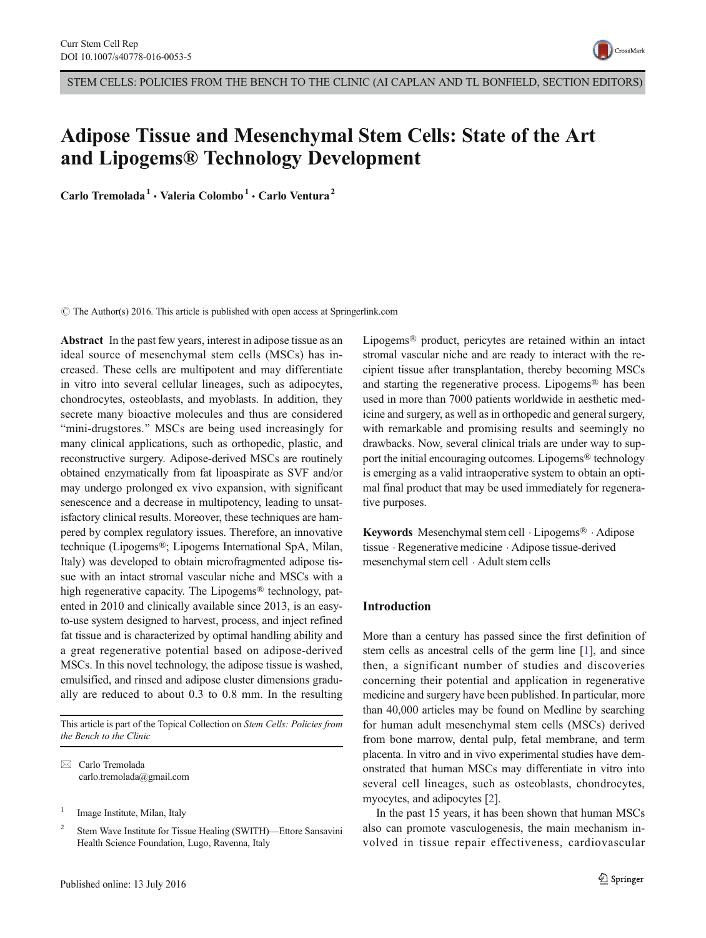STEM CELLS: POLICIES FROM THE BENCH TO THE CLINIC (AI CAPLAN AND TL BONFIELD, SECTION EDITORS)

# Adipose Tissue and Mesenchymal Stem Cells: State of the Art and Lipogems® Technology Development

Carlo Tremolada<sup>1</sup> · Valeria Colombo<sup>1</sup> · Carlo Ventura<sup>2</sup>

 $\odot$  The Author(s) 2016. This article is published with open access at Springerlink.com

Abstract In the past few years, interest in adipose tissue as an ideal source of mesenchymal stem cells (MSCs) has increased. These cells are multipotent and may differentiate in vitro into several cellular lineages, such as adipocytes, chondrocytes, osteoblasts, and myoblasts. In addition, they secrete many bioactive molecules and thus are considered "mini-drugstores." MSCs are being used increasingly for many clinical applications, such as orthopedic, plastic, and reconstructive surgery. Adipose-derived MSCs are routinely obtained enzymatically from fat lipoaspirate as SVF and/or may undergo prolonged ex vivo expansion, with significant senescence and a decrease in multipotency, leading to unsatisfactory clinical results. Moreover, these techniques are hampered by complex regulatory issues. Therefore, an innovative technique (Lipogems®; Lipogems International SpA, Milan, Italy) was developed to obtain microfragmented adipose tissue with an intact stromal vascular niche and MSCs with a high regenerative capacity. The Lipogems<sup>®</sup> technology, patented in 2010 and clinically available since 2013, is an easyto-use system designed to harvest, process, and inject refined fat tissue and is characterized by optimal handling ability and a great regenerative potential based on adipose-derived MSCs. In this novel technology, the adipose tissue is washed, emulsified, and rinsed and adipose cluster dimensions gradually are reduced to about 0.3 to 0.8 mm. In the resulting

This article is part of the Topical Collection on Stem Cells: Policies from the Bench to the Clinic

 $\boxtimes$  Carlo Tremolada carlo.tremolada@gmail.com

<sup>1</sup> Image Institute, Milan, Italy

Lipogems® product, pericytes are retained within an intact stromal vascular niche and are ready to interact with the recipient tissue after transplantation, thereby becoming MSCs and starting the regenerative process. Lipogems® has been used in more than 7000 patients worldwide in aesthetic medicine and surgery, as well as in orthopedic and general surgery, with remarkable and promising results and seemingly no drawbacks. Now, several clinical trials are under way to support the initial encouraging outcomes. Lipogems® technology is emerging as a valid intraoperative system to obtain an optimal final product that may be used immediately for regenerative purposes.

Keywords Mesenchymal stem cell . Lipogems® . Adipose tissue . Regenerative medicine . Adipose tissue-derived mesenchymal stem cell . Adult stem cells

# Introduction

More than a century has passed since the first definition of stem cells as ancestral cells of the germ line [\[1](#page-6-0)], and since then, a significant number of studies and discoveries concerning their potential and application in regenerative medicine and surgery have been published. In particular, more than 40,000 articles may be found on Medline by searching for human adult mesenchymal stem cells (MSCs) derived from bone marrow, dental pulp, fetal membrane, and term placenta. In vitro and in vivo experimental studies have demonstrated that human MSCs may differentiate in vitro into several cell lineages, such as osteoblasts, chondrocytes, myocytes, and adipocytes [\[2](#page-6-0)].

In the past 15 years, it has been shown that human MSCs also can promote vasculogenesis, the main mechanism involved in tissue repair effectiveness, cardiovascular



<sup>2</sup> Stem Wave Institute for Tissue Healing (SWITH)—Ettore Sansavini Health Science Foundation, Lugo, Ravenna, Italy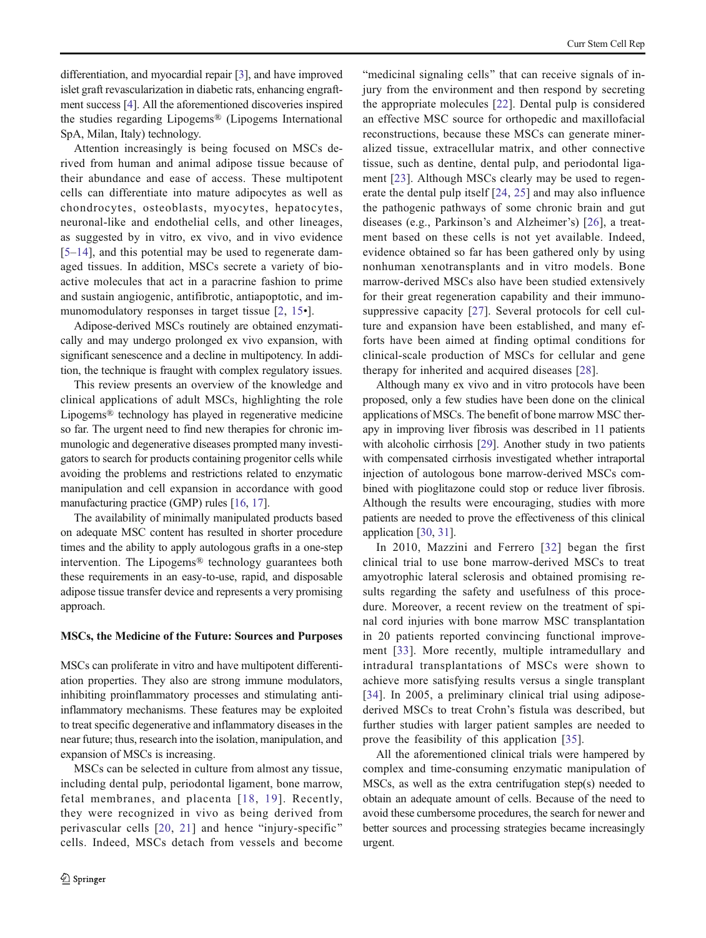differentiation, and myocardial repair [\[3](#page-6-0)], and have improved islet graft revascularization in diabetic rats, enhancing engraftment success [\[4](#page-6-0)]. All the aforementioned discoveries inspired the studies regarding Lipogems® (Lipogems International SpA, Milan, Italy) technology.

Attention increasingly is being focused on MSCs derived from human and animal adipose tissue because of their abundance and ease of access. These multipotent cells can differentiate into mature adipocytes as well as chondrocytes, osteoblasts, myocytes, hepatocytes, neuronal-like and endothelial cells, and other lineages, as suggested by in vitro, ex vivo, and in vivo evidence [\[5](#page-6-0)–[14\]](#page-6-0), and this potential may be used to regenerate damaged tissues. In addition, MSCs secrete a variety of bioactive molecules that act in a paracrine fashion to prime and sustain angiogenic, antifibrotic, antiapoptotic, and immunomodulatory responses in target tissue [[2,](#page-6-0) [15](#page-6-0)•].

Adipose-derived MSCs routinely are obtained enzymatically and may undergo prolonged ex vivo expansion, with significant senescence and a decline in multipotency. In addition, the technique is fraught with complex regulatory issues.

This review presents an overview of the knowledge and clinical applications of adult MSCs, highlighting the role Lipogems® technology has played in regenerative medicine so far. The urgent need to find new therapies for chronic immunologic and degenerative diseases prompted many investigators to search for products containing progenitor cells while avoiding the problems and restrictions related to enzymatic manipulation and cell expansion in accordance with good manufacturing practice (GMP) rules [[16](#page-6-0), [17](#page-6-0)].

The availability of minimally manipulated products based on adequate MSC content has resulted in shorter procedure times and the ability to apply autologous grafts in a one-step intervention. The Lipogems® technology guarantees both these requirements in an easy-to-use, rapid, and disposable adipose tissue transfer device and represents a very promising approach.

#### MSCs, the Medicine of the Future: Sources and Purposes

MSCs can proliferate in vitro and have multipotent differentiation properties. They also are strong immune modulators, inhibiting proinflammatory processes and stimulating antiinflammatory mechanisms. These features may be exploited to treat specific degenerative and inflammatory diseases in the near future; thus, research into the isolation, manipulation, and expansion of MSCs is increasing.

MSCs can be selected in culture from almost any tissue, including dental pulp, periodontal ligament, bone marrow, fetal membranes, and placenta [[18,](#page-6-0) [19\]](#page-6-0). Recently, they were recognized in vivo as being derived from perivascular cells  $[20, 21]$  $[20, 21]$  $[20, 21]$  $[20, 21]$  $[20, 21]$  and hence "injury-specific" cells. Indeed, MSCs detach from vessels and become

"medicinal signaling cells" that can receive signals of injury from the environment and then respond by secreting the appropriate molecules [[22](#page-6-0)]. Dental pulp is considered an effective MSC source for orthopedic and maxillofacial reconstructions, because these MSCs can generate mineralized tissue, extracellular matrix, and other connective tissue, such as dentine, dental pulp, and periodontal ligament [[23](#page-6-0)]. Although MSCs clearly may be used to regenerate the dental pulp itself [\[24](#page-6-0), [25\]](#page-6-0) and may also influence the pathogenic pathways of some chronic brain and gut diseases (e.g., Parkinson's and Alzheimer's) [[26\]](#page-6-0), a treatment based on these cells is not yet available. Indeed, evidence obtained so far has been gathered only by using nonhuman xenotransplants and in vitro models. Bone marrow-derived MSCs also have been studied extensively for their great regeneration capability and their immunosuppressive capacity [\[27\]](#page-6-0). Several protocols for cell culture and expansion have been established, and many efforts have been aimed at finding optimal conditions for clinical-scale production of MSCs for cellular and gene therapy for inherited and acquired diseases [\[28](#page-6-0)].

Although many ex vivo and in vitro protocols have been proposed, only a few studies have been done on the clinical applications of MSCs. The benefit of bone marrow MSC therapy in improving liver fibrosis was described in 11 patients with alcoholic cirrhosis [[29\]](#page-6-0). Another study in two patients with compensated cirrhosis investigated whether intraportal injection of autologous bone marrow-derived MSCs combined with pioglitazone could stop or reduce liver fibrosis. Although the results were encouraging, studies with more patients are needed to prove the effectiveness of this clinical application [[30,](#page-6-0) [31](#page-6-0)].

In 2010, Mazzini and Ferrero [[32](#page-6-0)] began the first clinical trial to use bone marrow-derived MSCs to treat amyotrophic lateral sclerosis and obtained promising results regarding the safety and usefulness of this procedure. Moreover, a recent review on the treatment of spinal cord injuries with bone marrow MSC transplantation in 20 patients reported convincing functional improvement [[33](#page-6-0)]. More recently, multiple intramedullary and intradural transplantations of MSCs were shown to achieve more satisfying results versus a single transplant [\[34\]](#page-6-0). In 2005, a preliminary clinical trial using adiposederived MSCs to treat Crohn's fistula was described, but further studies with larger patient samples are needed to prove the feasibility of this application [\[35](#page-6-0)].

All the aforementioned clinical trials were hampered by complex and time-consuming enzymatic manipulation of MSCs, as well as the extra centrifugation step(s) needed to obtain an adequate amount of cells. Because of the need to avoid these cumbersome procedures, the search for newer and better sources and processing strategies became increasingly urgent.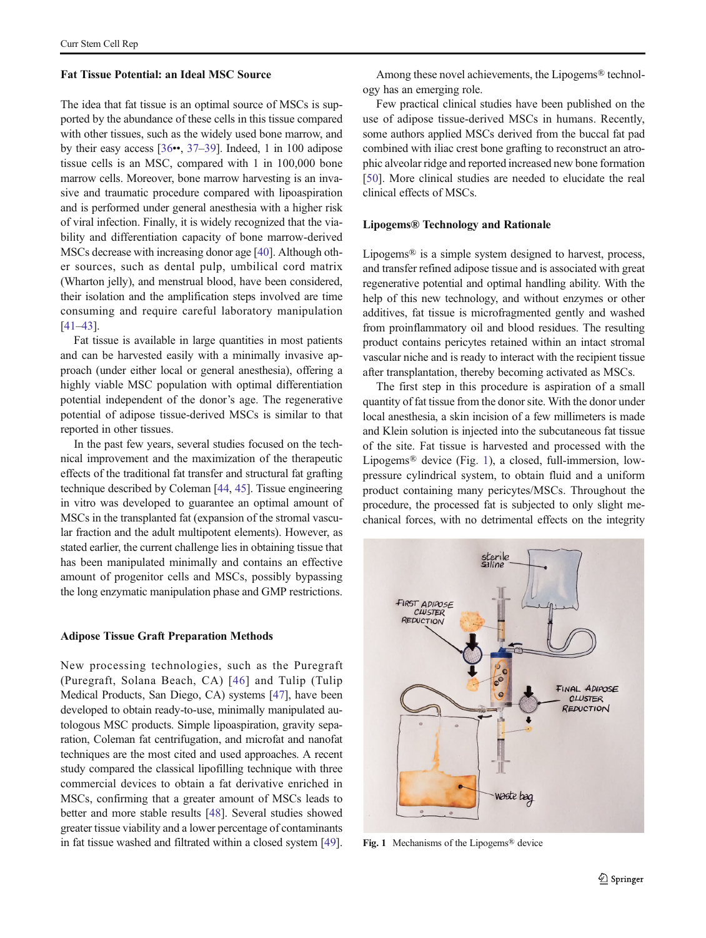#### Fat Tissue Potential: an Ideal MSC Source

The idea that fat tissue is an optimal source of MSCs is supported by the abundance of these cells in this tissue compared with other tissues, such as the widely used bone marrow, and by their easy access [[36](#page-6-0)••, [37](#page-7-0)–[39](#page-7-0)]. Indeed, 1 in 100 adipose tissue cells is an MSC, compared with 1 in 100,000 bone marrow cells. Moreover, bone marrow harvesting is an invasive and traumatic procedure compared with lipoaspiration and is performed under general anesthesia with a higher risk of viral infection. Finally, it is widely recognized that the viability and differentiation capacity of bone marrow-derived MSCs decrease with increasing donor age [\[40](#page-7-0)]. Although other sources, such as dental pulp, umbilical cord matrix (Wharton jelly), and menstrual blood, have been considered, their isolation and the amplification steps involved are time consuming and require careful laboratory manipulation [\[41](#page-7-0)–[43\]](#page-7-0).

Fat tissue is available in large quantities in most patients and can be harvested easily with a minimally invasive approach (under either local or general anesthesia), offering a highly viable MSC population with optimal differentiation potential independent of the donor's age. The regenerative potential of adipose tissue-derived MSCs is similar to that reported in other tissues.

In the past few years, several studies focused on the technical improvement and the maximization of the therapeutic effects of the traditional fat transfer and structural fat grafting technique described by Coleman [[44](#page-7-0), [45](#page-7-0)]. Tissue engineering in vitro was developed to guarantee an optimal amount of MSCs in the transplanted fat (expansion of the stromal vascular fraction and the adult multipotent elements). However, as stated earlier, the current challenge lies in obtaining tissue that has been manipulated minimally and contains an effective amount of progenitor cells and MSCs, possibly bypassing the long enzymatic manipulation phase and GMP restrictions.

#### Adipose Tissue Graft Preparation Methods

New processing technologies, such as the Puregraft (Puregraft, Solana Beach, CA) [\[46](#page-7-0)] and Tulip (Tulip Medical Products, San Diego, CA) systems [\[47](#page-7-0)], have been developed to obtain ready-to-use, minimally manipulated autologous MSC products. Simple lipoaspiration, gravity separation, Coleman fat centrifugation, and microfat and nanofat techniques are the most cited and used approaches. A recent study compared the classical lipofilling technique with three commercial devices to obtain a fat derivative enriched in MSCs, confirming that a greater amount of MSCs leads to better and more stable results [[48](#page-7-0)]. Several studies showed greater tissue viability and a lower percentage of contaminants in fat tissue washed and filtrated within a closed system [[49\]](#page-7-0).

Among these novel achievements, the Lipogems® technology has an emerging role.

Few practical clinical studies have been published on the use of adipose tissue-derived MSCs in humans. Recently, some authors applied MSCs derived from the buccal fat pad combined with iliac crest bone grafting to reconstruct an atrophic alveolar ridge and reported increased new bone formation [\[50](#page-7-0)]. More clinical studies are needed to elucidate the real clinical effects of MSCs.

#### Lipogems® Technology and Rationale

Lipogems® is a simple system designed to harvest, process, and transfer refined adipose tissue and is associated with great regenerative potential and optimal handling ability. With the help of this new technology, and without enzymes or other additives, fat tissue is microfragmented gently and washed from proinflammatory oil and blood residues. The resulting product contains pericytes retained within an intact stromal vascular niche and is ready to interact with the recipient tissue after transplantation, thereby becoming activated as MSCs.

The first step in this procedure is aspiration of a small quantity of fat tissue from the donor site. With the donor under local anesthesia, a skin incision of a few millimeters is made and Klein solution is injected into the subcutaneous fat tissue of the site. Fat tissue is harvested and processed with the Lipogems® device (Fig. 1), a closed, full-immersion, lowpressure cylindrical system, to obtain fluid and a uniform product containing many pericytes/MSCs. Throughout the procedure, the processed fat is subjected to only slight mechanical forces, with no detrimental effects on the integrity



Fig. 1 Mechanisms of the Lipogems® device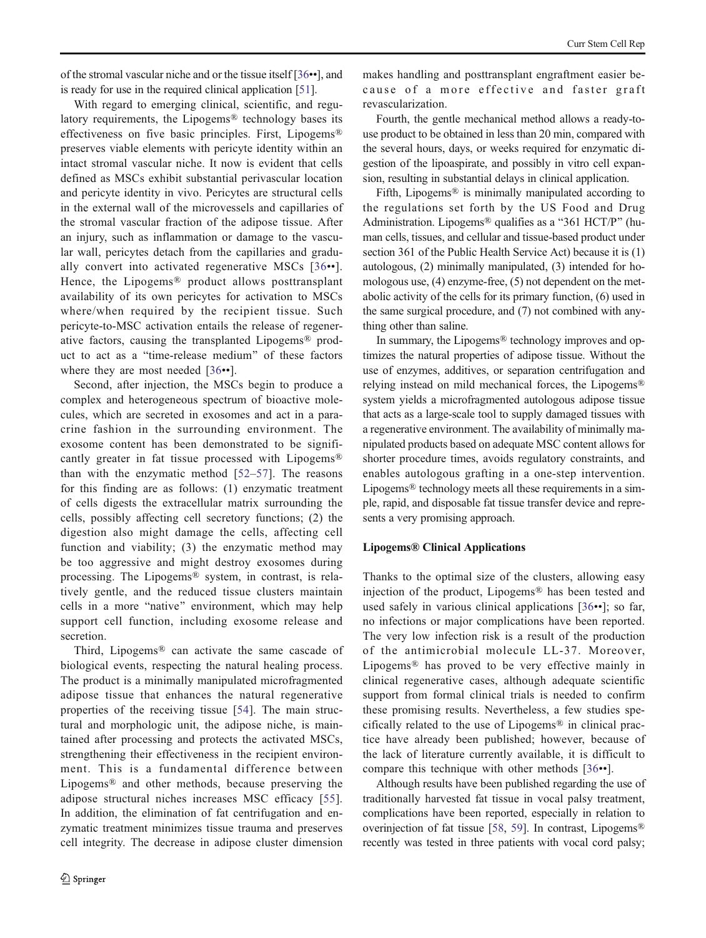of the stromal vascular niche and or the tissue itself [\[36](#page-6-0)••], and is ready for use in the required clinical application [\[51](#page-7-0)].

With regard to emerging clinical, scientific, and regulatory requirements, the Lipogems® technology bases its effectiveness on five basic principles. First, Lipogems® preserves viable elements with pericyte identity within an intact stromal vascular niche. It now is evident that cells defined as MSCs exhibit substantial perivascular location and pericyte identity in vivo. Pericytes are structural cells in the external wall of the microvessels and capillaries of the stromal vascular fraction of the adipose tissue. After an injury, such as inflammation or damage to the vascular wall, pericytes detach from the capillaries and gradually convert into activated regenerative MSCs [[36](#page-6-0)••]. Hence, the Lipogems® product allows posttransplant availability of its own pericytes for activation to MSCs where/when required by the recipient tissue. Such pericyte-to-MSC activation entails the release of regenerative factors, causing the transplanted Lipogems® product to act as a "time-release medium" of these factors where they are most needed [[36](#page-6-0)••].

Second, after injection, the MSCs begin to produce a complex and heterogeneous spectrum of bioactive molecules, which are secreted in exosomes and act in a paracrine fashion in the surrounding environment. The exosome content has been demonstrated to be significantly greater in fat tissue processed with Lipogems® than with the enzymatic method  $[52-57]$  $[52-57]$  $[52-57]$  $[52-57]$ . The reasons for this finding are as follows: (1) enzymatic treatment of cells digests the extracellular matrix surrounding the cells, possibly affecting cell secretory functions; (2) the digestion also might damage the cells, affecting cell function and viability; (3) the enzymatic method may be too aggressive and might destroy exosomes during processing. The Lipogems® system, in contrast, is relatively gentle, and the reduced tissue clusters maintain cells in a more "native" environment, which may help support cell function, including exosome release and secretion.

Third, Lipogems® can activate the same cascade of biological events, respecting the natural healing process. The product is a minimally manipulated microfragmented adipose tissue that enhances the natural regenerative properties of the receiving tissue [[54](#page-7-0)]. The main structural and morphologic unit, the adipose niche, is maintained after processing and protects the activated MSCs, strengthening their effectiveness in the recipient environment. This is a fundamental difference between Lipogems® and other methods, because preserving the adipose structural niches increases MSC efficacy [[55](#page-7-0)]. In addition, the elimination of fat centrifugation and enzymatic treatment minimizes tissue trauma and preserves cell integrity. The decrease in adipose cluster dimension

makes handling and posttransplant engraftment easier because of a more effective and faster graft revascularization.

Fourth, the gentle mechanical method allows a ready-touse product to be obtained in less than 20 min, compared with the several hours, days, or weeks required for enzymatic digestion of the lipoaspirate, and possibly in vitro cell expansion, resulting in substantial delays in clinical application.

Fifth, Lipogems® is minimally manipulated according to the regulations set forth by the US Food and Drug Administration. Lipogems<sup>®</sup> qualifies as a "361 HCT/P" (human cells, tissues, and cellular and tissue-based product under section 361 of the Public Health Service Act) because it is (1) autologous, (2) minimally manipulated, (3) intended for homologous use, (4) enzyme-free, (5) not dependent on the metabolic activity of the cells for its primary function, (6) used in the same surgical procedure, and (7) not combined with anything other than saline.

In summary, the Lipogems® technology improves and optimizes the natural properties of adipose tissue. Without the use of enzymes, additives, or separation centrifugation and relying instead on mild mechanical forces, the Lipogems® system yields a microfragmented autologous adipose tissue that acts as a large-scale tool to supply damaged tissues with a regenerative environment. The availability of minimally manipulated products based on adequate MSC content allows for shorter procedure times, avoids regulatory constraints, and enables autologous grafting in a one-step intervention. Lipogems® technology meets all these requirements in a simple, rapid, and disposable fat tissue transfer device and represents a very promising approach.

# Lipogems® Clinical Applications

Thanks to the optimal size of the clusters, allowing easy injection of the product, Lipogems® has been tested and used safely in various clinical applications [[36](#page-6-0)••]; so far, no infections or major complications have been reported. The very low infection risk is a result of the production of the antimicrobial molecule LL-37. Moreover, Lipogems® has proved to be very effective mainly in clinical regenerative cases, although adequate scientific support from formal clinical trials is needed to confirm these promising results. Nevertheless, a few studies specifically related to the use of Lipogems® in clinical practice have already been published; however, because of the lack of literature currently available, it is difficult to compare this technique with other methods [\[36](#page-6-0)••].

Although results have been published regarding the use of traditionally harvested fat tissue in vocal palsy treatment, complications have been reported, especially in relation to overinjection of fat tissue [\[58](#page-7-0), [59](#page-7-0)]. In contrast, Lipogems® recently was tested in three patients with vocal cord palsy;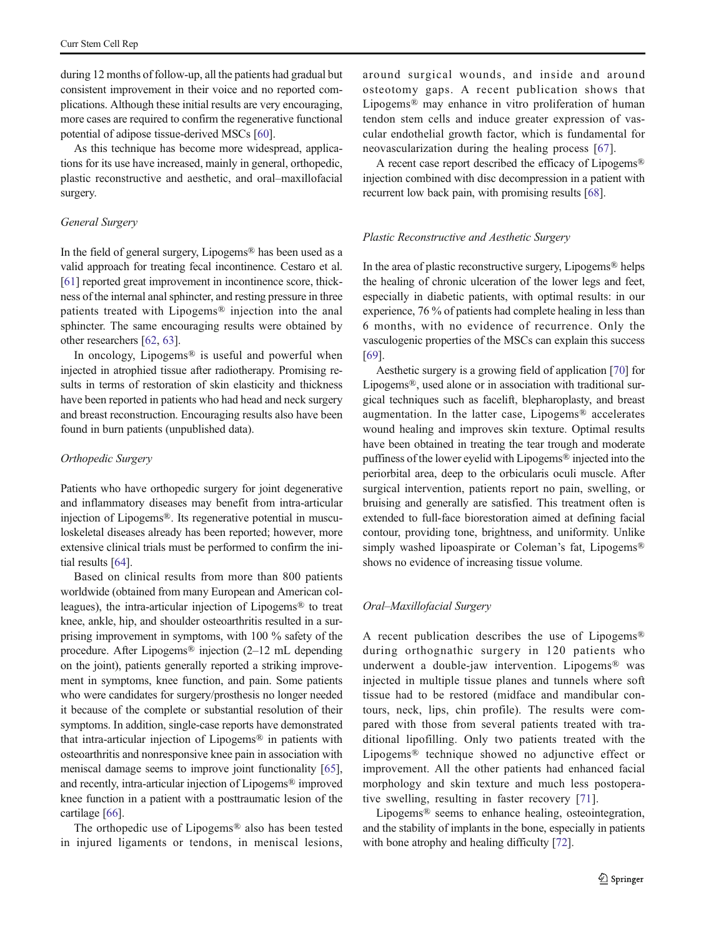during 12 months of follow-up, all the patients had gradual but consistent improvement in their voice and no reported complications. Although these initial results are very encouraging, more cases are required to confirm the regenerative functional potential of adipose tissue-derived MSCs [\[60\]](#page-7-0).

As this technique has become more widespread, applications for its use have increased, mainly in general, orthopedic, plastic reconstructive and aesthetic, and oral–maxillofacial surgery.

### General Surgery

In the field of general surgery, Lipogems® has been used as a valid approach for treating fecal incontinence. Cestaro et al. [\[61\]](#page-7-0) reported great improvement in incontinence score, thickness of the internal anal sphincter, and resting pressure in three patients treated with Lipogems® injection into the anal sphincter. The same encouraging results were obtained by other researchers [\[62](#page-7-0), [63](#page-7-0)].

In oncology, Lipogems<sup>®</sup> is useful and powerful when injected in atrophied tissue after radiotherapy. Promising results in terms of restoration of skin elasticity and thickness have been reported in patients who had head and neck surgery and breast reconstruction. Encouraging results also have been found in burn patients (unpublished data).

#### Orthopedic Surgery

Patients who have orthopedic surgery for joint degenerative and inflammatory diseases may benefit from intra-articular injection of Lipogems®. Its regenerative potential in musculoskeletal diseases already has been reported; however, more extensive clinical trials must be performed to confirm the initial results [[64](#page-7-0)].

Based on clinical results from more than 800 patients worldwide (obtained from many European and American colleagues), the intra-articular injection of Lipogems® to treat knee, ankle, hip, and shoulder osteoarthritis resulted in a surprising improvement in symptoms, with 100 % safety of the procedure. After Lipogems® injection (2–12 mL depending on the joint), patients generally reported a striking improvement in symptoms, knee function, and pain. Some patients who were candidates for surgery/prosthesis no longer needed it because of the complete or substantial resolution of their symptoms. In addition, single-case reports have demonstrated that intra-articular injection of Lipogems® in patients with osteoarthritis and nonresponsive knee pain in association with meniscal damage seems to improve joint functionality [[65\]](#page-7-0), and recently, intra-articular injection of Lipogems® improved knee function in a patient with a posttraumatic lesion of the cartilage [[66](#page-7-0)].

The orthopedic use of Lipogems® also has been tested in injured ligaments or tendons, in meniscal lesions,

around surgical wounds, and inside and around osteotomy gaps. A recent publication shows that Lipogems® may enhance in vitro proliferation of human tendon stem cells and induce greater expression of vascular endothelial growth factor, which is fundamental for neovascularization during the healing process [\[67](#page-7-0)].

A recent case report described the efficacy of Lipogems® injection combined with disc decompression in a patient with recurrent low back pain, with promising results [\[68\]](#page-7-0).

## Plastic Reconstructive and Aesthetic Surgery

In the area of plastic reconstructive surgery, Lipogems® helps the healing of chronic ulceration of the lower legs and feet, especially in diabetic patients, with optimal results: in our experience, 76 % of patients had complete healing in less than 6 months, with no evidence of recurrence. Only the vasculogenic properties of the MSCs can explain this success [\[69](#page-7-0)].

Aesthetic surgery is a growing field of application [[70](#page-7-0)] for Lipogems®, used alone or in association with traditional surgical techniques such as facelift, blepharoplasty, and breast augmentation. In the latter case, Lipogems® accelerates wound healing and improves skin texture. Optimal results have been obtained in treating the tear trough and moderate puffiness of the lower eyelid with Lipogems® injected into the periorbital area, deep to the orbicularis oculi muscle. After surgical intervention, patients report no pain, swelling, or bruising and generally are satisfied. This treatment often is extended to full-face biorestoration aimed at defining facial contour, providing tone, brightness, and uniformity. Unlike simply washed lipoaspirate or Coleman's fat, Lipogems® shows no evidence of increasing tissue volume.

# Oral–Maxillofacial Surgery

A recent publication describes the use of Lipogems® during orthognathic surgery in 120 patients who underwent a double-jaw intervention. Lipogems® was injected in multiple tissue planes and tunnels where soft tissue had to be restored (midface and mandibular contours, neck, lips, chin profile). The results were compared with those from several patients treated with traditional lipofilling. Only two patients treated with the Lipogems® technique showed no adjunctive effect or improvement. All the other patients had enhanced facial morphology and skin texture and much less postoperative swelling, resulting in faster recovery [\[71\]](#page-7-0).

Lipogems® seems to enhance healing, osteointegration, and the stability of implants in the bone, especially in patients with bone atrophy and healing difficulty [\[72\]](#page-7-0).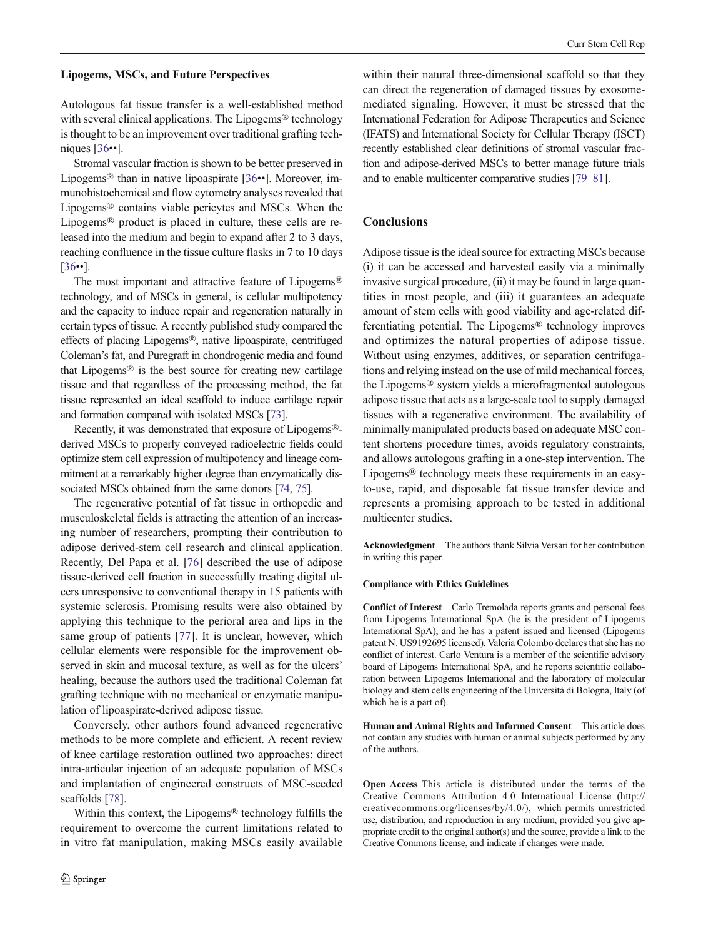#### Lipogems, MSCs, and Future Perspectives

Autologous fat tissue transfer is a well-established method with several clinical applications. The Lipogems<sup>®</sup> technology is thought to be an improvement over traditional grafting techniques [\[36](#page-6-0)••].

Stromal vascular fraction is shown to be better preserved in Lipogems® than in native lipoaspirate [\[36](#page-6-0)••]. Moreover, immunohistochemical and flow cytometry analyses revealed that Lipogems® contains viable pericytes and MSCs. When the Lipogems® product is placed in culture, these cells are released into the medium and begin to expand after 2 to 3 days, reaching confluence in the tissue culture flasks in 7 to 10 days [\[36](#page-6-0)••].

The most important and attractive feature of Lipogems® technology, and of MSCs in general, is cellular multipotency and the capacity to induce repair and regeneration naturally in certain types of tissue. A recently published study compared the effects of placing Lipogems®, native lipoaspirate, centrifuged Coleman's fat, and Puregraft in chondrogenic media and found that Lipogems<sup>®</sup> is the best source for creating new cartilage tissue and that regardless of the processing method, the fat tissue represented an ideal scaffold to induce cartilage repair and formation compared with isolated MSCs [\[73\]](#page-7-0).

Recently, it was demonstrated that exposure of Lipogems® derived MSCs to properly conveyed radioelectric fields could optimize stem cell expression of multipotency and lineage commitment at a remarkably higher degree than enzymatically dis-sociated MSCs obtained from the same donors [\[74](#page-7-0), [75](#page-8-0)].

The regenerative potential of fat tissue in orthopedic and musculoskeletal fields is attracting the attention of an increasing number of researchers, prompting their contribution to adipose derived-stem cell research and clinical application. Recently, Del Papa et al. [\[76\]](#page-8-0) described the use of adipose tissue-derived cell fraction in successfully treating digital ulcers unresponsive to conventional therapy in 15 patients with systemic sclerosis. Promising results were also obtained by applying this technique to the perioral area and lips in the same group of patients [\[77](#page-8-0)]. It is unclear, however, which cellular elements were responsible for the improvement observed in skin and mucosal texture, as well as for the ulcers' healing, because the authors used the traditional Coleman fat grafting technique with no mechanical or enzymatic manipulation of lipoaspirate-derived adipose tissue.

Conversely, other authors found advanced regenerative methods to be more complete and efficient. A recent review of knee cartilage restoration outlined two approaches: direct intra-articular injection of an adequate population of MSCs and implantation of engineered constructs of MSC-seeded scaffolds [\[78](#page-8-0)].

Within this context, the Lipogems® technology fulfills the requirement to overcome the current limitations related to in vitro fat manipulation, making MSCs easily available

within their natural three-dimensional scaffold so that they can direct the regeneration of damaged tissues by exosomemediated signaling. However, it must be stressed that the International Federation for Adipose Therapeutics and Science (IFATS) and International Society for Cellular Therapy (ISCT) recently established clear definitions of stromal vascular fraction and adipose-derived MSCs to better manage future trials and to enable multicenter comparative studies [\[79](#page-8-0)–[81\]](#page-8-0).

# **Conclusions**

Adipose tissue is the ideal source for extracting MSCs because (i) it can be accessed and harvested easily via a minimally invasive surgical procedure, (ii) it may be found in large quantities in most people, and (iii) it guarantees an adequate amount of stem cells with good viability and age-related differentiating potential. The Lipogems® technology improves and optimizes the natural properties of adipose tissue. Without using enzymes, additives, or separation centrifugations and relying instead on the use of mild mechanical forces, the Lipogems® system yields a microfragmented autologous adipose tissue that acts as a large-scale tool to supply damaged tissues with a regenerative environment. The availability of minimally manipulated products based on adequate MSC content shortens procedure times, avoids regulatory constraints, and allows autologous grafting in a one-step intervention. The Lipogems® technology meets these requirements in an easyto-use, rapid, and disposable fat tissue transfer device and represents a promising approach to be tested in additional multicenter studies.

Acknowledgment The authors thank Silvia Versari for her contribution in writing this paper.

#### Compliance with Ethics Guidelines

Conflict of Interest Carlo Tremolada reports grants and personal fees from Lipogems International SpA (he is the president of Lipogems International SpA), and he has a patent issued and licensed (Lipogems patent N. US9192695 licensed). Valeria Colombo declares that she has no conflict of interest. Carlo Ventura is a member of the scientific advisory board of Lipogems International SpA, and he reports scientific collaboration between Lipogems International and the laboratory of molecular biology and stem cells engineering of the Università di Bologna, Italy (of which he is a part of).

Human and Animal Rights and Informed Consent This article does not contain any studies with human or animal subjects performed by any of the authors.

Open Access This article is distributed under the terms of the Creative Commons Attribution 4.0 International License (http:// creativecommons.org/licenses/by/4.0/), which permits unrestricted use, distribution, and reproduction in any medium, provided you give appropriate credit to the original author(s) and the source, provide a link to the Creative Commons license, and indicate if changes were made.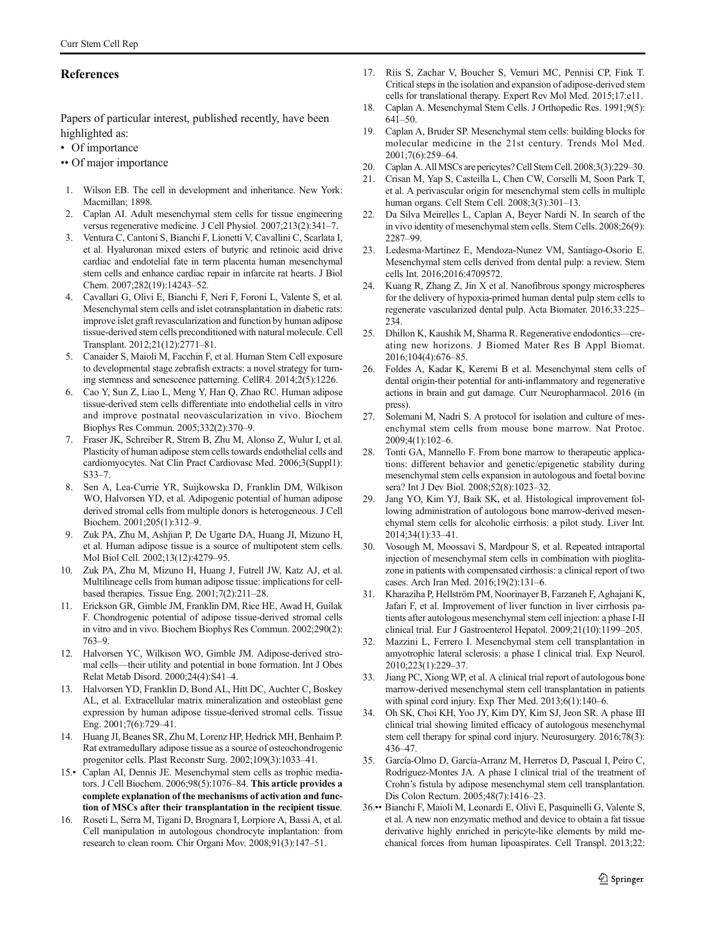# <span id="page-6-0"></span>**References**

Papers of particular interest, published recently, have been highlighted as:

- Of importance
- •• Of major importance
- 1. Wilson EB. The cell in development and inheritance. New York: Macmillan; 1898.
- 2. Caplan AI. Adult mesenchymal stem cells for tissue engineering versus regenerative medicine. J Cell Physiol. 2007;213(2):341–7.
- 3. Ventura C, Cantoni S, Bianchi F, Lionetti V, Cavallini C, Scarlata I, et al. Hyaluronan mixed esters of butyric and retinoic acid drive cardiac and endotelial fate in term placenta human mesenchymal stem cells and enhance cardiac repair in infarcite rat hearts. J Biol Chem. 2007;282(19):14243–52.
- 4. Cavallari G, Olivi E, Bianchi F, Neri F, Foroni L, Valente S, et al. Mesenchymal stem cells and islet cotransplantation in diabetic rats: improve islet graft revascularization and function by human adipose tissue-derived stem cells preconditioned with natural molecule. Cell Transplant. 2012;21(12):2771–81.
- 5. Canaider S, Maioli M, Facchin F, et al. Human Stem Cell exposure to developmental stage zebrafish extracts: a novel strategy for turning stemness and senescence patterning. CellR4. 2014;2(5):1226.
- 6. Cao Y, Sun Z, Liao L, Meng Y, Han Q, Zhao RC. Human adipose tissue-derived stem cells differentiate into endothelial cells in vitro and improve postnatal neovascularization in vivo. Biochem Biophys Res Commun. 2005;332(2):370–9.
- 7. Fraser JK, Schreiber R, Strem B, Zhu M, Alonso Z, Wulur I, et al. Plasticity of human adipose stem cells towards endothelial cells and cardiomyocytes. Nat Clin Pract Cardiovasc Med. 2006;3(Suppl1): S33–7.
- 8. Sen A, Lea-Currie YR, Suijkowska D, Franklin DM, Wilkison WO, Halvorsen YD, et al. Adipogenic potential of human adipose derived stromal cells from multiple donors is heterogeneous. J Cell Biochem. 2001;205(1):312–9.
- 9. Zuk PA, Zhu M, Ashjian P, De Ugarte DA, Huang JI, Mizuno H, et al. Human adipose tissue is a source of multipotent stem cells. Mol Biol Cell. 2002;13(12):4279–95.
- 10. Zuk PA, Zhu M, Mizuno H, Huang J, Futrell JW, Katz AJ, et al. Multilineage cells from human adipose tissue: implications for cellbased therapies. Tissue Eng. 2001;7(2):211–28.
- 11. Erickson GR, Gimble JM, Franklin DM, Rice HE, Awad H, Guilak F. Chondrogenic potential of adipose tissue-derived stromal cells in vitro and in vivo. Biochem Biophys Res Commun. 2002;290(2): 763–9.
- 12. Halvorsen YC, Wilkison WO, Gimble JM. Adipose-derived stromal cells—their utility and potential in bone formation. Int J Obes Relat Metab Disord. 2000;24(4):S41–4.
- 13. Halvorsen YD, Franklin D, Bond AL, Hitt DC, Auchter C, Boskey AL, et al. Extracellular matrix mineralization and osteoblast gene expression by human adipose tissue-derived stromal cells. Tissue Eng. 2001;7(6):729–41.
- 14. Huang JI, Beanes SR, Zhu M, Lorenz HP, Hedrick MH, Benhaim P. Rat extramedullary adipose tissue as a source of osteochondrogenic progenitor cells. Plast Reconstr Surg. 2002;109(3):1033–41.
- 15.• Caplan AI, Dennis JE. Mesenchymal stem cells as trophic mediators. J Cell Biochem. 2006;98(5):1076–84. This article provides a complete explanation of the mechanisms of activation and function of MSCs after their transplantation in the recipient tissue.
- 16. Roseti L, Serra M, Tigani D, Brognara I, Lorpiore A, Bassi A, et al. Cell manipulation in autologous chondrocyte implantation: from research to clean room. Chir Organi Mov. 2008;91(3):147–51.
- 17. Riis S, Zachar V, Boucher S, Vemuri MC, Pennisi CP, Fink T. Critical steps in the isolation and expansion of adipose-derived stem cells for translational therapy. Expert Rev Mol Med. 2015;17:e11.
- 18. Caplan A. Mesenchymal Stem Cells. J Orthopedic Res. 1991;9(5): 641–50.
- 19. Caplan A, Bruder SP. Mesenchymal stem cells: building blocks for molecular medicine in the 21st century. Trends Mol Med. 2001;7(6):259–64.
- 20. Caplan A. AllMSCs are pericytes? Cell Stem Cell. 2008;3(3):229–30.
- 21. Crisan M, Yap S, Casteilla L, Chen CW, Corselli M, Soon Park T, et al. A perivascular origin for mesenchymal stem cells in multiple human organs. Cell Stem Cell. 2008;3(3):301–13.
- 22. Da Silva Meirelles L, Caplan A, Beyer Nardi N. In search of the in vivo identity of mesenchymal stem cells. Stem Cells. 2008;26(9): 2287–99.
- 23. Ledesma-Martinez E, Mendoza-Nunez VM, Santiago-Osorio E. Mesenchymal stem cells derived from dental pulp: a review. Stem cells Int. 2016;2016:4709572.
- 24. Kuang R, Zhang Z, Jin X et al. Nanofibrous spongy microspheres for the delivery of hypoxia-primed human dental pulp stem cells to regenerate vascularized dental pulp. Acta Biomater. 2016;33:225– 234.
- 25. Dhillon K, Kaushik M, Sharma R. Regenerative endodontics—creating new horizons. J Biomed Mater Res B Appl Biomat. 2016;104(4):676–85.
- 26. Foldes A, Kadar K, Keremi B et al. Mesenchymal stem cells of dental origin-their potential for anti-inflammatory and regenerative actions in brain and gut damage. Curr Neuropharmacol. 2016 (in press).
- 27. Solemani M, Nadri S. A protocol for isolation and culture of mesenchymal stem cells from mouse bone marrow. Nat Protoc. 2009;4(1):102–6.
- 28. Tonti GA, Mannello F. From bone marrow to therapeutic applications: different behavior and genetic/epigenetic stability during mesenchymal stem cells expansion in autologous and foetal bovine sera? Int J Dev Biol. 2008;52(8):1023–32.
- 29. Jang YO, Kim YJ, Baik SK, et al. Histological improvement following administration of autologous bone marrow-derived mesenchymal stem cells for alcoholic cirrhosis: a pilot study. Liver Int. 2014;34(1):33–41.
- Vosough M, Moossavi S, Mardpour S, et al. Repeated intraportal injection of mesenchymal stem cells in combination with pioglitazone in patients with compensated cirrhosis: a clinical report of two cases. Arch Iran Med. 2016;19(2):131–6.
- 31. Kharaziha P, Hellström PM, Noorinayer B, Farzaneh F, Aghajani K, Jafari F, et al. Improvement of liver function in liver cirrhosis patients after autologous mesenchymal stem cell injection: a phase I-II clinical trial. Eur J Gastroenterol Hepatol. 2009;21(10):1199–205.
- 32. Mazzini L, Ferrero I. Mesenchymal stem cell transplantation in amyotrophic lateral sclerosis: a phase I clinical trial. Exp Neurol. 2010;223(1):229–37.
- 33. Jiang PC, Xiong WP, et al. A clinical trial report of autologous bone marrow-derived mesenchymal stem cell transplantation in patients with spinal cord injury. Exp Ther Med. 2013;6(1):140–6.
- 34. Oh SK, Choi KH, Yoo JY, Kim DY, Kim SJ, Jeon SR. A phase III clinical trial showing limited efficacy of autologous mesenchymal stem cell therapy for spinal cord injury. Neurosurgery. 2016;78(3): 436–47.
- 35. García-Olmo D, García-Arranz M, Herreros D, Pascual I, Peiro C, Rodríguez-Montes JA. A phase I clinical trial of the treatment of Crohn's fistula by adipose mesenchymal stem cell transplantation. Dis Colon Rectum. 2005;48(7):1416–23.
- 36.•• Bianchi F, Maioli M, Leonardi E, Olivi E, Pasquinelli G, Valente S, et al. A new non enzymatic method and device to obtain a fat tissue derivative highly enriched in pericyte-like elements by mild mechanical forces from human lipoaspirates. Cell Transpl. 2013;22: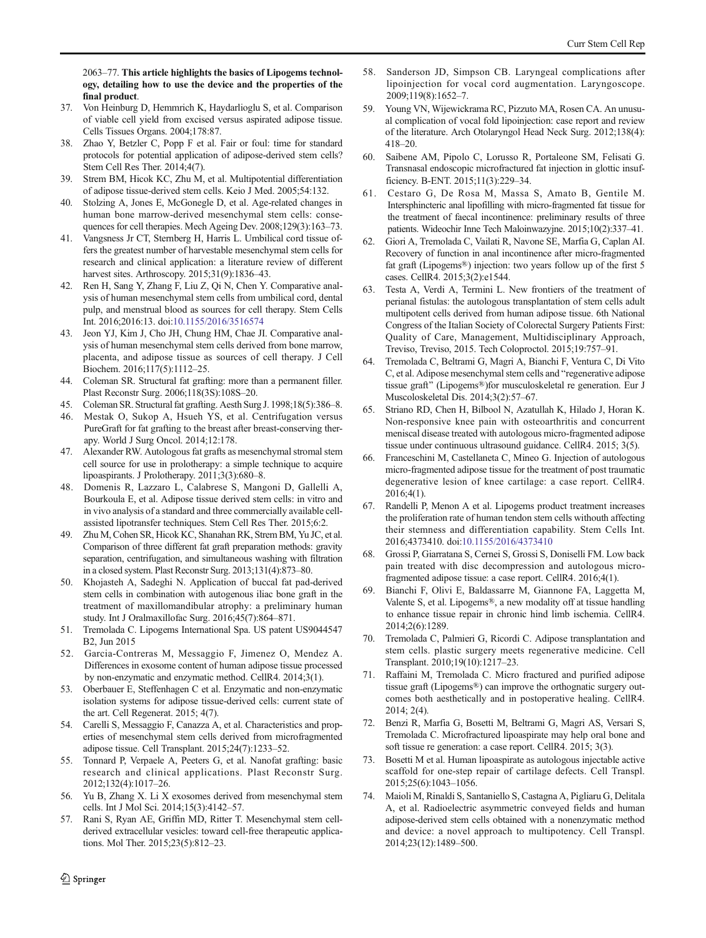<span id="page-7-0"></span>2063–77. This article highlights the basics of Lipogems technology, detailing how to use the device and the properties of the final product.

- 37. Von Heinburg D, Hemmrich K, Haydarlioglu S, et al. Comparison of viable cell yield from excised versus aspirated adipose tissue. Cells Tissues Organs. 2004;178:87.
- 38. Zhao Y, Betzler C, Popp F et al. Fair or foul: time for standard protocols for potential application of adipose-derived stem cells? Stem Cell Res Ther. 2014;4(7).
- 39. Strem BM, Hicok KC, Zhu M, et al. Multipotential differentiation of adipose tissue-derived stem cells. Keio J Med. 2005;54:132.
- 40. Stolzing A, Jones E, McGonegle D, et al. Age-related changes in human bone marrow-derived mesenchymal stem cells: consequences for cell therapies. Mech Ageing Dev. 2008;129(3):163–73.
- 41. Vangsness Jr CT, Sternberg H, Harris L. Umbilical cord tissue offers the greatest number of harvestable mesenchymal stem cells for research and clinical application: a literature review of different harvest sites. Arthroscopy. 2015;31(9):1836–43.
- 42. Ren H, Sang Y, Zhang F, Liu Z, Qi N, Chen Y. Comparative analysis of human mesenchymal stem cells from umbilical cord, dental pulp, and menstrual blood as sources for cell therapy. Stem Cells Int. 2016;2016:13. doi[:10.1155/2016/3516574](http://dx.doi.org/10.1155/2016/3516574)
- 43. Jeon YJ, Kim J, Cho JH, Chung HM, Chae JI. Comparative analysis of human mesenchymal stem cells derived from bone marrow, placenta, and adipose tissue as sources of cell therapy. J Cell Biochem. 2016;117(5):1112–25.
- 44. Coleman SR. Structural fat grafting: more than a permanent filler. Plast Reconstr Surg. 2006;118(3S):108S–20.
- 45. Coleman SR. Structural fat grafting. Aesth Surg J. 1998;18(5):386–8.
- 46. Mestak O, Sukop A, Hsueh YS, et al. Centrifugation versus PureGraft for fat grafting to the breast after breast-conserving therapy. World J Surg Oncol. 2014;12:178.
- 47. Alexander RW. Autologous fat grafts as mesenchymal stromal stem cell source for use in prolotherapy: a simple technique to acquire lipoaspirants. J Prolotherapy. 2011;3(3):680–8.
- 48. Domenis R, Lazzaro L, Calabrese S, Mangoni D, Gallelli A, Bourkoula E, et al. Adipose tissue derived stem cells: in vitro and in vivo analysis of a standard and three commercially available cellassisted lipotransfer techniques. Stem Cell Res Ther. 2015;6:2.
- 49. Zhu M, Cohen SR, Hicok KC, Shanahan RK, Strem BM, Yu JC, et al. Comparison of three different fat graft preparation methods: gravity separation, centrifugation, and simultaneous washing with filtration in a closed system. Plast Reconstr Surg. 2013;131(4):873–80.
- 50. Khojasteh A, Sadeghi N. Application of buccal fat pad-derived stem cells in combination with autogenous iliac bone graft in the treatment of maxillomandibular atrophy: a preliminary human study. Int J Oralmaxillofac Surg. 2016;45(7):864–871.
- 51. Tremolada C. Lipogems International Spa. US patent US9044547 B2, Jun 2015
- 52. Garcia-Contreras M, Messaggio F, Jimenez O, Mendez A. Differences in exosome content of human adipose tissue processed by non-enzymatic and enzymatic method. CellR4. 2014;3(1).
- 53. Oberbauer E, Steffenhagen C et al. Enzymatic and non-enzymatic isolation systems for adipose tissue-derived cells: current state of the art. Cell Regenerat. 2015; 4(7).
- 54. Carelli S, Messaggio F, Canazza A, et al. Characteristics and properties of mesenchymal stem cells derived from microfragmented adipose tissue. Cell Transplant. 2015;24(7):1233–52.
- 55. Tonnard P, Verpaele A, Peeters G, et al. Nanofat grafting: basic research and clinical applications. Plast Reconstr Surg. 2012;132(4):1017–26.
- 56. Yu B, Zhang X. Li X exosomes derived from mesenchymal stem cells. Int J Mol Sci. 2014;15(3):4142–57.
- 57. Rani S, Ryan AE, Griffin MD, Ritter T. Mesenchymal stem cellderived extracellular vesicles: toward cell-free therapeutic applications. Mol Ther. 2015;23(5):812–23.
- 58. Sanderson JD, Simpson CB. Laryngeal complications after lipoinjection for vocal cord augmentation. Laryngoscope. 2009;119(8):1652–7.
- 59. Young VN, Wijewickrama RC, Pizzuto MA, Rosen CA. An unusual complication of vocal fold lipoinjection: case report and review of the literature. Arch Otolaryngol Head Neck Surg. 2012;138(4): 418–20.
- 60. Saibene AM, Pipolo C, Lorusso R, Portaleone SM, Felisati G. Transnasal endoscopic microfractured fat injection in glottic insufficiency. B-ENT. 2015;11(3):229–34.
- 61. Cestaro G, De Rosa M, Massa S, Amato B, Gentile M. Intersphincteric anal lipofilling with micro-fragmented fat tissue for the treatment of faecal incontinence: preliminary results of three patients. Wideochir Inne Tech Maloinwazyjne. 2015;10(2):337–41.
- 62. Giori A, Tremolada C, Vailati R, Navone SE, Marfia G, Caplan AI. Recovery of function in anal incontinence after micro-fragmented fat graft (Lipogems®) injection: two years follow up of the first 5 cases. CellR4. 2015;3(2):e1544.
- Testa A, Verdi A, Termini L. New frontiers of the treatment of perianal fistulas: the autologous transplantation of stem cells adult multipotent cells derived from human adipose tissue. 6th National Congress of the Italian Society of Colorectal Surgery Patients First: Quality of Care, Management, Multidisciplinary Approach, Treviso, Treviso, 2015. Tech Coloproctol. 2015;19:757–91.
- 64. Tremolada C, Beltrami G, Magri A, Bianchi F, Ventura C, Di Vito C, et al. Adipose mesenchymal stem cells and "regenerative adipose tissue graft" (Lipogems®)for musculoskeletal re generation. Eur J Muscoloskeletal Dis. 2014;3(2):57–67.
- 65. Striano RD, Chen H, Bilbool N, Azatullah K, Hilado J, Horan K. Non-responsive knee pain with osteoarthritis and concurrent meniscal disease treated with autologous micro-fragmented adipose tissue under continuous ultrasound guidance. CellR4. 2015; 3(5).
- 66. Franceschini M, Castellaneta C, Mineo G. Injection of autologous micro-fragmented adipose tissue for the treatment of post traumatic degenerative lesion of knee cartilage: a case report. CellR4. 2016;4(1).
- 67. Randelli P, Menon A et al. Lipogems product treatment increases the proliferation rate of human tendon stem cells withouth affecting their stemness and differentiation capability. Stem Cells Int. 2016;4373410. doi[:10.1155/2016/4373410](http://dx.doi.org/10.1155/2016/4373410)
- 68. Grossi P, Giarratana S, Cernei S, Grossi S, Doniselli FM. Low back pain treated with disc decompression and autologous microfragmented adipose tissue: a case report. CellR4. 2016;4(1).
- 69. Bianchi F, Olivi E, Baldassarre M, Giannone FA, Laggetta M, Valente S, et al. Lipogems®, a new modality off at tissue handling to enhance tissue repair in chronic hind limb ischemia. CellR4. 2014;2(6):1289.
- 70. Tremolada C, Palmieri G, Ricordi C. Adipose transplantation and stem cells. plastic surgery meets regenerative medicine. Cell Transplant. 2010;19(10):1217–23.
- 71. Raffaini M, Tremolada C. Micro fractured and purified adipose tissue graft (Lipogems®) can improve the orthognatic surgery outcomes both aesthetically and in postoperative healing. CellR4. 2014; 2(4).
- 72. Benzi R, Marfia G, Bosetti M, Beltrami G, Magri AS, Versari S, Tremolada C. Microfractured lipoaspirate may help oral bone and soft tissue re generation: a case report. CellR4. 2015; 3(3).
- 73. Bosetti M et al. Human lipoaspirate as autologous injectable active scaffold for one-step repair of cartilage defects. Cell Transpl. 2015;25(6):1043–1056.
- 74. Maioli M, Rinaldi S, Santaniello S, Castagna A, Pigliaru G, Delitala A, et al. Radioelectric asymmetric conveyed fields and human adipose-derived stem cells obtained with a nonenzymatic method and device: a novel approach to multipotency. Cell Transpl. 2014;23(12):1489–500.